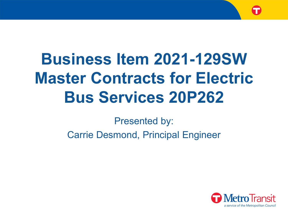# **Business Item 2021-129SW Master Contracts for Electric Bus Services 20P262**

Presented by:

Carrie Desmond, Principal Engineer

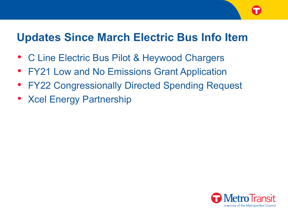### **Updates Since March Electric Bus Info Item**

- C Line Electric Bus Pilot & Heywood Chargers
- FY21 Low and No Emissions Grant Application
- **FY22 Congressionally Directed Spending Request**
- Xcel Energy Partnership

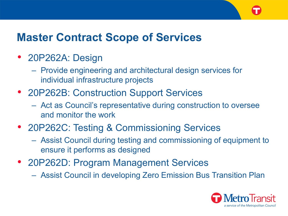## **Master Contract Scope of Services**

#### • 20P262A: Design

- Provide engineering and architectural design services for individual infrastructure projects
- 20P262B: Construction Support Services
	- Act as Council's representative during construction to oversee and monitor the work
- 20P262C: Testing & Commissioning Services
	- Assist Council during testing and commissioning of equipment to ensure it performs as designed
- 20P262D: Program Management Services
	- Assist Council in developing Zero Emission Bus Transition Plan

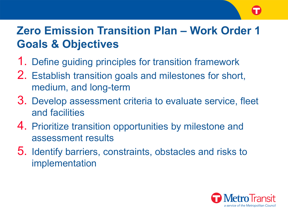# **Zero Emission Transition Plan – Work Order 1 Goals & Objectives**

- 1. Define guiding principles for transition framework
- 2. Establish transition goals and milestones for short, medium, and long-term
- 3. Develop assessment criteria to evaluate service, fleet and facilities
- 4. Prioritize transition opportunities by milestone and assessment results
- 5. Identify barriers, constraints, obstacles and risks to implementation